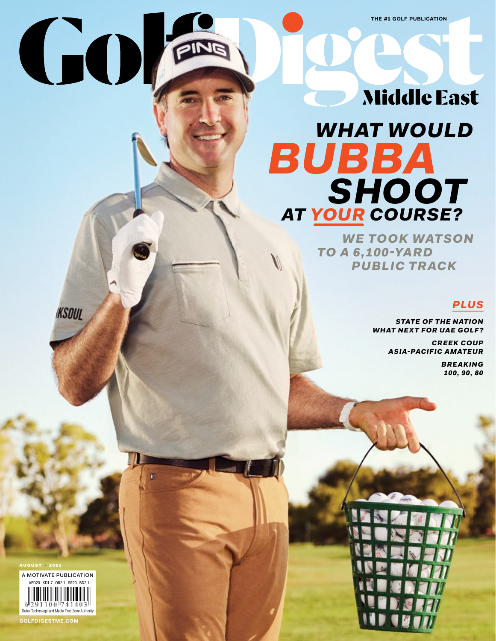# **Middle East**

# *WHAT WOULD SHOOT AT YOUR COURSE? BUBBA*

 *WE TOOK WATSON TO A 6,100-YARD PUBLIC TRACK*

# *PLUS*

*STATE OF THE NATION WHAT NEXT FOR UAE GOLF?*

> *CREEK COUP ASIA-PACIFIC AMATEUR*

> > *BREAKING 100, 90, 80*



A MOTIVATE PUBLICATION AED20 KD1.7 OR2.1 SR20 BD2.1 91100 741403 Dubai Technology and Media Free Zone Authority

**KSOUL** 

GOI

**GOLFDIGESTME.COM**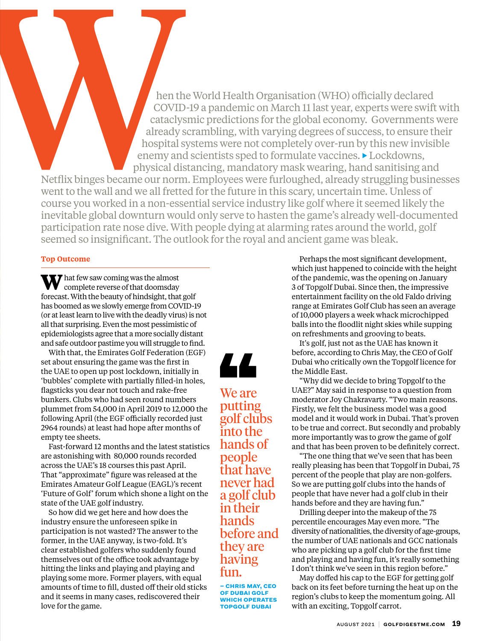hospital systems were not completely over-run by this new invisible enemy and scientists sped to formulate vaccines. ▶ Lockdowns, physical distancing, mandatory mask wearing, hand sanitising and Netflix binges became our norm. Employees were furloughed, already struggling businesses went to the wall and we all fretted for the future in this scary, uncertain time. Unless of course you worked in a non-essential service industry like golf where it seemed likely the inevitable global downturn would only serve to hasten the game's already well-documented participation rate nose dive. With people dying at alarming rates around the world, golf seemed so insignificant. The outlook for the royal and ancient game was bleak.

hen the World Health Organisation (WHO) officially declared COVID-19 a pandemic on March 11 last year, experts were swift with cataclysmic predictions for the global economy. Governments were already scrambling, with varying degrees of success, to ensure their

# **Top Outcome**

**W** hat few saw coming was the almost complete reverse of that doomsday forecast. With the beauty of hindsight, that golf has boomed as we slowly emerge from COVID-19 (or at least learn to live with the deadly virus) is not all that surprising. Even the most pessimistic of epidemiologists agree that a more socially distant and safe outdoor pastime you will struggle to find.

With that, the Emirates Golf Federation (EGF) set about ensuring the game was the first in the UAE to open up post lockdown, initially in 'bubbles' complete with partially filled-in holes, flagsticks you dear not touch and rake-free bunkers. Clubs who had seen round numbers plummet from 54,000 in April 2019 to 12,000 the following April (the EGF officially recorded just 2964 rounds) at least had hope after months of empty tee sheets.

Fast-forward 12 months and the latest statistics are astonishing with 80,000 rounds recorded across the UAE's 18 courses this past April. That "approximate" figure was released at the Emirates Amateur Golf League (EAGL)'s recent 'Future of Golf' forum which shone a light on the state of the UAE golf industry.

So how did we get here and how does the industry ensure the unforeseen spike in participation is not wasted? The answer to the former, in the UAE anyway, is two-fold. It's clear established golfers who suddenly found themselves out of the office took advantage by hitting the links and playing and playing and playing some more. Former players, with equal amounts of time to fill, dusted off their old sticks and it seems in many cases, rediscovered their love for the game.



We are putting golf clubs into the hands of people that have never had a golf club in their hands before and they are having fun.

**– chris may, ceo of dubai golf which operates topgolf dubai**

Perhaps the most significant development, which just happened to coincide with the height of the pandemic, was the opening on January 3 of Topgolf Dubai. Since then, the impressive entertainment facility on the old Faldo driving range at Emirates Golf Club has seen an average of 10,000 players a week whack microchipped balls into the floodlit night skies while supping on refreshments and grooving to beats.

It's golf, just not as the UAE has known it before, according to Chris May, the CEO of Golf Dubai who critically own the Topgolf licence for the Middle East.

"Why did we decide to bring Topgolf to the UAE?" May said in response to a question from moderator Joy Chakravarty. "Two main reasons. Firstly, we felt the business model was a good model and it would work in Dubai. That's proven to be true and correct. But secondly and probably more importantly was to grow the game of golf and that has been proven to be definitely correct.

"The one thing that we've seen that has been really pleasing has been that Topgolf in Dubai, 75 percent of the people that play are non-golfers. So we are putting golf clubs into the hands of people that have never had a golf club in their hands before and they are having fun."

Drilling deeper into the makeup of the 75 percentile encourages May even more. "The diversity of nationalities, the diversity of age-groups, the number of UAE nationals and GCC nationals who are picking up a golf club for the first time and playing and having fun, it's really something I don't think we've seen in this region before."

May doffed his cap to the EGF for getting golf back on its feet before turning the heat up on the region's clubs to keep the momentum going. All with an exciting, Topgolf carrot.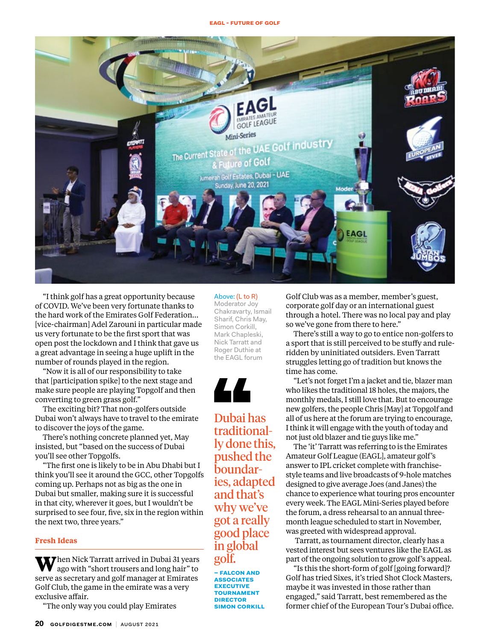#### **eagl - future of golf**



"I think golf has a great opportunity because of COVID. We've been very fortunate thanks to the hard work of the Emirates Golf Federation… [vice-chairman] Adel Zarouni in particular made us very fortunate to be the first sport that was open post the lockdown and I think that gave us a great advantage in seeing a huge uplift in the number of rounds played in the region.

"Now it is all of our responsibility to take that [participation spike] to the next stage and make sure people are playing Topgolf and then converting to green grass golf."

The exciting bit? That non-golfers outside Dubai won't always have to travel to the emirate to discover the joys of the game.

There's nothing concrete planned yet, May insisted, but "based on the success of Dubai you'll see other Topgolfs.

"The first one is likely to be in Abu Dhabi but I think you'll see it around the GCC, other Topgolfs coming up. Perhaps not as big as the one in Dubai but smaller, making sure it is successful in that city, wherever it goes, but I wouldn't be surprised to see four, five, six in the region within the next two, three years."

### **Fresh Ideas**

**W**hen Nick Tarratt arrived in Dubai 31 years ago with "short trousers and long hair" to serve as secretary and golf manager at Emirates Golf Club, the game in the emirate was a very exclusive affair.

"The only way you could play Emirates

## Above: (L to R)

Moderator Joy Chakravarty, Ismail Sharif, Chris May, Simon Corkill, Mark Chapleski, Nick Tarratt and Roger Duthie at the EAGL forum



Dubai has traditionally done this, pushed the boundaries, adapted and that's why we've got a really good place in global golf.

**– falcon and associates executive tournament director simon corkill** Golf Club was as a member, member's guest, corporate golf day or an international guest through a hotel. There was no local pay and play so we've gone from there to here."

There's still a way to go to entice non-golfers to a sport that is still perceived to be stuffy and ruleridden by uninitiated outsiders. Even Tarratt struggles letting go of tradition but knows the time has come.

"Let's not forget I'm a jacket and tie, blazer man who likes the traditional 18 holes, the majors, the monthly medals, I still love that. But to encourage new golfers, the people Chris [May] at Topgolf and all of us here at the forum are trying to encourage, I think it will engage with the youth of today and not just old blazer and tie guys like me."

The 'it' Tarratt was referring to is the Emirates Amateur Golf League (EAGL], amateur golf's answer to IPL cricket complete with franchisestyle teams and live broadcasts of 9-hole matches designed to give average Joes (and Janes) the chance to experience what touring pros encounter every week. The EAGL Mini-Series played before the forum, a dress rehearsal to an annual threemonth league scheduled to start in November, was greeted with widespread approval.

 Tarratt, as tournament director, clearly has a vested interest but sees ventures like the EAGL as part of the ongoing solution to grow golf's appeal.

"Is this the short-form of golf [going forward]? Golf has tried Sixes, it's tried Shot Clock Masters, maybe it was invested in those rather than engaged," said Tarratt, best remembered as the former chief of the European Tour's Dubai office.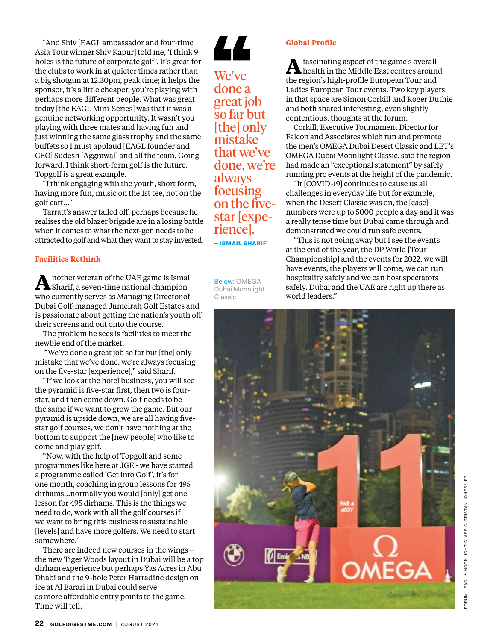"And Shiv [EAGL ambassador and four-time Asia Tour winner Shiv Kapur] told me, 'I think 9 holes is the future of corporate golf'. It's great for the clubs to work in at quieter times rather than a big shotgun at 12.30pm, peak time; it helps the sponsor, it's a little cheaper, you're playing with perhaps more different people. What was great today [the EAGL Mini-Series] was that it was a genuine networking opportunity. It wasn't you playing with three mates and having fun and just winning the same glass trophy and the same buffets so I must applaud [EAGL founder and CEO] Sudesh [Aggrawal] and all the team. Going forward, I think short-form golf is the future, Topgolf is a great example.

"I think engaging with the youth, short form, having more fun, music on the 1st tee, not on the golf cart..."

Tarratt's answer tailed off, perhaps because he realises the old blazer brigade are in a losing battle when it comes to what the next-gen needs to be attracted to golf and what they want to stay invested.

## **Facilities Rethink**

**A**nother veteran of the UAE game is Ismail Sharif, a seven-time national champion who currently serves as Managing Director of Dubai Golf-managed Jumeirah Golf Estates and is passionate about getting the nation's youth off their screens and out onto the course.

The problem he sees is facilities to meet the newbie end of the market.

 "We've done a great job so far but [the] only mistake that we've done, we're always focusing on the five-star [experience]," said Sharif.

"If we look at the hotel business, you will see the pyramid is five-star first, then two is fourstar, and then come down. Golf needs to be the same if we want to grow the game. But our pyramid is upside down, we are all having fivestar golf courses, we don't have nothing at the bottom to support the [new people] who like to come and play golf.

"Now, with the help of Topgolf and some programmes like here at JGE - we have started a programme called 'Get into Golf', it's for one month, coaching in group lessons for 495 dirhams…normally you would [only] get one lesson for 495 dirhams. This is the things we need to do, work with all the golf courses if we want to bring this business to sustainable [levels] and have more golfers. We need to start somewhere."

There are indeed new courses in the wings – the new Tiger Woods layout in Dubai will be a top dirham experience but perhaps Yas Acres in Abu Dhabi and the 9-hole Peter Harradine design on ice at Al Barari in Dubai could serve as more affordable entry points to the game. Time will tell.

**Global Profile**

We've done a great job so far but [the] only mistake that we've done, we're always focusing on the fivestar [expe- rience]. **– ismail sharif**

LL

Below: OMEGA Dubai Moonlight Classic



contentious, thoughts at the forum. Corkill, Executive Tournament Director for Falcon and Associates which run and promote the men's OMEGA Dubai Desert Classic and LET's OMEGA Dubai Moonlight Classic, said the region had made an "exceptional statement" by safely running pro events at the height of the pandemic.

"It [COVID-19] continues to cause us all challenges in everyday life but for example, when the Desert Classic was on, the [case] numbers were up to 5000 people a day and it was a really tense time but Dubai came through and demonstrated we could run safe events.

"This is not going away but I see the events at the end of the year, the DP World [Tour Championship] and the events for 2022, we will have events, the players will come, we can run hospitality safely and we can host spectators safely. Dubai and the UAE are right up there as world leaders."

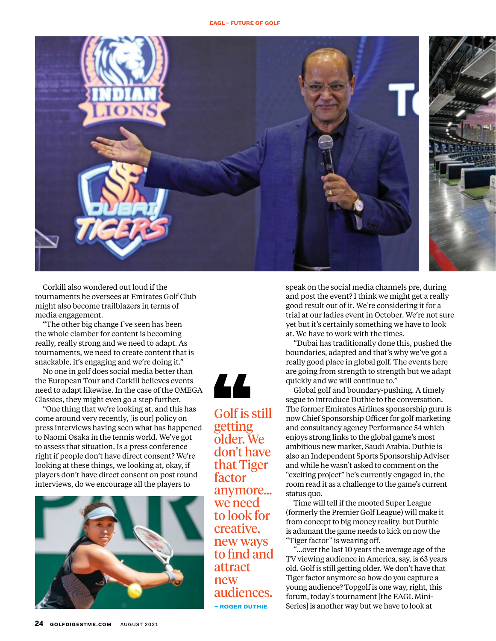

Corkill also wondered out loud if the tournaments he oversees at Emirates Golf Club might also become trailblazers in terms of media engagement.

"The other big change I've seen has been the whole clamber for content is becoming really, really strong and we need to adapt. As tournaments, we need to create content that is snackable, it's engaging and we're doing it."

No one in golf does social media better than the European Tour and Corkill believes events need to adapt likewise. In the case of the OMEGA Classics, they might even go a step further.

"One thing that we're looking at, and this has come around very recently, [is our] policy on press interviews having seen what has happened to Naomi Osaka in the tennis world. We've got to assess that situation. Is a press conference right if people don't have direct consent? We're looking at these things, we looking at, okay, if players don't have direct consent on post round interviews, do we encourage all the players to





Golf is still getting older. We don't have that Tiger factor anymore… we need to look for creative, new ways to find and attract new audiences. **– roger duthie**

speak on the social media channels pre, during and post the event? I think we might get a really good result out of it. We're considering it for a trial at our ladies event in October. We're not sure yet but it's certainly something we have to look at. We have to work with the times.

"Dubai has traditionally done this, pushed the boundaries, adapted and that's why we've got a really good place in global golf. The events here are going from strength to strength but we adapt quickly and we will continue to."

Global golf and boundary-pushing. A timely segue to introduce Duthie to the conversation. The former Emirates Airlines sponsorship guru is now Chief Sponsorship Officer for golf marketing and consultancy agency Performance 54 which enjoys strong links to the global game's most ambitious new market, Saudi Arabia. Duthie is also an Independent Sports Sponsorship Adviser and while he wasn't asked to comment on the "exciting project" he's currently engaged in, the room read it as a challenge to the game's current status quo.

Time will tell if the mooted Super League (formerly the Premier Golf League) will make it from concept to big money reality, but Duthie is adamant the game needs to kick on now the "Tiger factor" is wearing off.

"…over the last 10 years the average age of the TV viewing audience in America, say, is 63 years old. Golf is still getting older. We don't have that Tiger factor anymore so how do you capture a young audience? Topgolf is one way, right, this forum, today's tournament [the EAGL Mini-Series] is another way but we have to look at